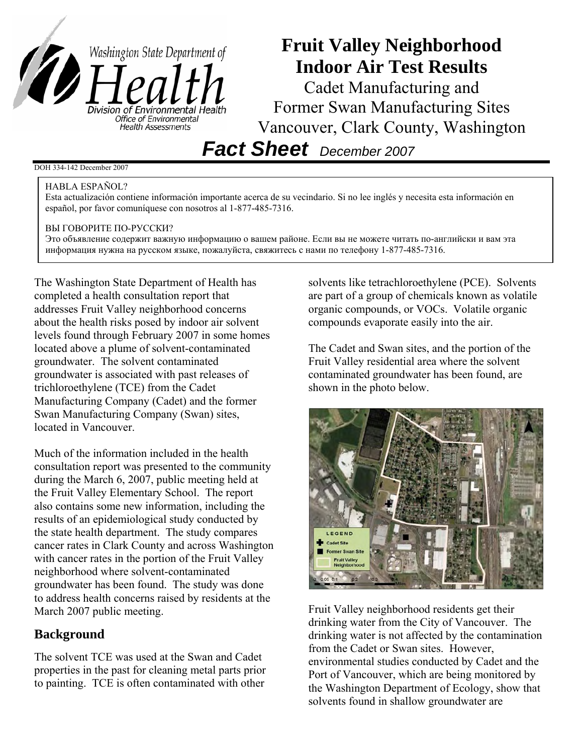

# **Fruit Valley Neighborhood Indoor Air Test Results**

Cadet Manufacturing and Former Swan Manufacturing Sites Vancouver, Clark County, Washington

*Fact Sheet December 2007*

### DOH 334-142 December 2007

#### HABLA ESPAÑOL?

Esta actualización contiene información importante acerca de su vecindario. Si no lee inglés y necesita esta información en español, por favor comuníquese con nosotros al 1-877-485-7316.

#### ВЫ ГОВОРИТЕ ПО-РУССКИ?

Это объявление содержит важную информацию о вашем районе. Если вы не можете читать по-английски и вам эта информация нужна на русском языке, пожалуйста, свяжитесь с нами по телефону 1-877-485-7316.

The Washington State Department of Health has completed a health consultation report that addresses Fruit Valley neighborhood concerns about the health risks posed by indoor air solvent levels found through February 2007 in some homes located above a plume of solvent-contaminated groundwater. The solvent contaminated groundwater is associated with past releases of trichloroethylene (TCE) from the Cadet Manufacturing Company (Cadet) and the former Swan Manufacturing Company (Swan) sites, located in Vancouver.

Much of the information included in the health consultation report was presented to the community during the March 6, 2007, public meeting held at the Fruit Valley Elementary School. The report also contains some new information, including the results of an epidemiological study conducted by the state health department. The study compares cancer rates in Clark County and across Washington with cancer rates in the portion of the Fruit Valley neighborhood where solvent-contaminated groundwater has been found. The study was done to address health concerns raised by residents at the March 2007 public meeting.

## **Background**

The solvent TCE was used at the Swan and Cadet properties in the past for cleaning metal parts prior to painting. TCE is often contaminated with other

solvents like tetrachloroethylene (PCE). Solvents are part of a group of chemicals known as volatile organic compounds, or VOCs. Volatile organic compounds evaporate easily into the air.

The Cadet and Swan sites, and the portion of the Fruit Valley residential area where the solvent contaminated groundwater has been found, are shown in the photo below.



Fruit Valley neighborhood residents get their drinking water from the City of Vancouver. The drinking water is not affected by the contamination from the Cadet or Swan sites. However, environmental studies conducted by Cadet and the Port of Vancouver, which are being monitored by the Washington Department of Ecology, show that solvents found in shallow groundwater are